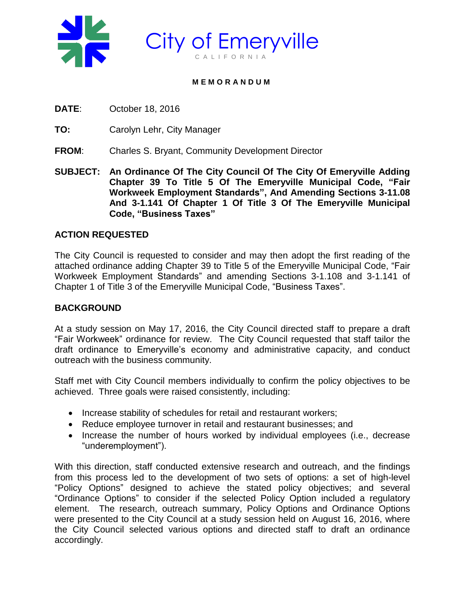

#### **M E M O R A N D U M**

**DATE**: October 18, 2016

**TO:** Carolyn Lehr, City Manager

- **FROM**: Charles S. Bryant, Community Development Director
- **SUBJECT: An Ordinance Of The City Council Of The City Of Emeryville Adding Chapter 39 To Title 5 Of The Emeryville Municipal Code, "Fair Workweek Employment Standards", And Amending Sections 3-11.08 And 3-1.141 Of Chapter 1 Of Title 3 Of The Emeryville Municipal Code, "Business Taxes"**

# **ACTION REQUESTED**

The City Council is requested to consider and may then adopt the first reading of the attached ordinance adding Chapter 39 to Title 5 of the Emeryville Municipal Code, "Fair Workweek Employment Standards" and amending Sections 3-1.108 and 3-1.141 of Chapter 1 of Title 3 of the Emeryville Municipal Code, "Business Taxes".

## **BACKGROUND**

At a study session on May 17, 2016, the City Council directed staff to prepare a draft "Fair Workweek" ordinance for review. The City Council requested that staff tailor the draft ordinance to Emeryville's economy and administrative capacity, and conduct outreach with the business community.

Staff met with City Council members individually to confirm the policy objectives to be achieved. Three goals were raised consistently, including:

- Increase stability of schedules for retail and restaurant workers;
- Reduce employee turnover in retail and restaurant businesses; and
- Increase the number of hours worked by individual employees (i.e., decrease "underemployment").

With this direction, staff conducted extensive research and outreach, and the findings from this process led to the development of two sets of options: a set of high-level "Policy Options" designed to achieve the stated policy objectives; and several "Ordinance Options" to consider if the selected Policy Option included a regulatory element. The research, outreach summary, Policy Options and Ordinance Options were presented to the City Council at a study session held on August 16, 2016, where the City Council selected various options and directed staff to draft an ordinance accordingly.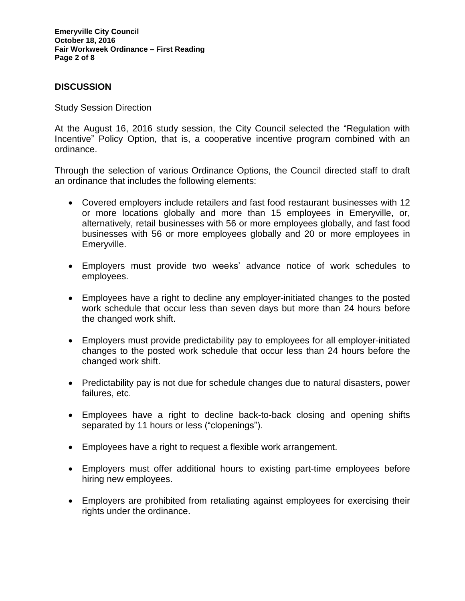**Emeryville City Council October 18, 2016 Fair Workweek Ordinance – First Reading Page 2 of 8**

### **DISCUSSION**

#### Study Session Direction

At the August 16, 2016 study session, the City Council selected the "Regulation with Incentive" Policy Option, that is, a cooperative incentive program combined with an ordinance.

Through the selection of various Ordinance Options, the Council directed staff to draft an ordinance that includes the following elements:

- Covered employers include retailers and fast food restaurant businesses with 12 or more locations globally and more than 15 employees in Emeryville, or, alternatively, retail businesses with 56 or more employees globally, and fast food businesses with 56 or more employees globally and 20 or more employees in Emeryville.
- Employers must provide two weeks' advance notice of work schedules to employees.
- Employees have a right to decline any employer-initiated changes to the posted work schedule that occur less than seven days but more than 24 hours before the changed work shift.
- Employers must provide predictability pay to employees for all employer-initiated changes to the posted work schedule that occur less than 24 hours before the changed work shift.
- Predictability pay is not due for schedule changes due to natural disasters, power failures, etc.
- Employees have a right to decline back-to-back closing and opening shifts separated by 11 hours or less ("clopenings").
- Employees have a right to request a flexible work arrangement.
- Employers must offer additional hours to existing part-time employees before hiring new employees.
- Employers are prohibited from retaliating against employees for exercising their rights under the ordinance.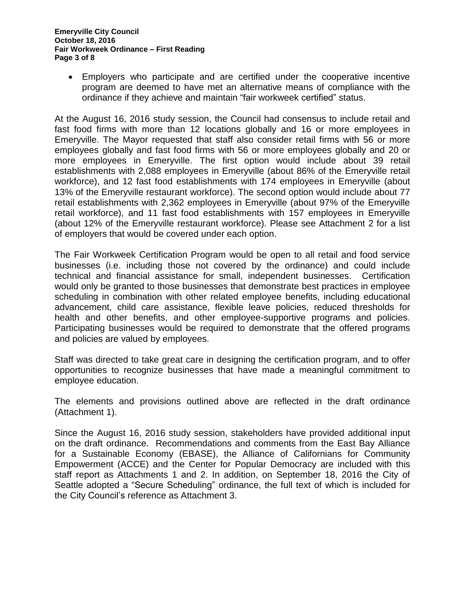Employers who participate and are certified under the cooperative incentive program are deemed to have met an alternative means of compliance with the ordinance if they achieve and maintain "fair workweek certified" status.

At the August 16, 2016 study session, the Council had consensus to include retail and fast food firms with more than 12 locations globally and 16 or more employees in Emeryville. The Mayor requested that staff also consider retail firms with 56 or more employees globally and fast food firms with 56 or more employees globally and 20 or more employees in Emeryville. The first option would include about 39 retail establishments with 2,088 employees in Emeryville (about 86% of the Emeryville retail workforce), and 12 fast food establishments with 174 employees in Emeryville (about 13% of the Emeryville restaurant workforce). The second option would include about 77 retail establishments with 2,362 employees in Emeryville (about 97% of the Emeryville retail workforce), and 11 fast food establishments with 157 employees in Emeryville (about 12% of the Emeryville restaurant workforce). Please see Attachment 2 for a list of employers that would be covered under each option.

The Fair Workweek Certification Program would be open to all retail and food service businesses (i.e. including those not covered by the ordinance) and could include technical and financial assistance for small, independent businesses. Certification would only be granted to those businesses that demonstrate best practices in employee scheduling in combination with other related employee benefits, including educational advancement, child care assistance, flexible leave policies, reduced thresholds for health and other benefits, and other employee-supportive programs and policies. Participating businesses would be required to demonstrate that the offered programs and policies are valued by employees.

Staff was directed to take great care in designing the certification program, and to offer opportunities to recognize businesses that have made a meaningful commitment to employee education.

The elements and provisions outlined above are reflected in the draft ordinance (Attachment 1).

Since the August 16, 2016 study session, stakeholders have provided additional input on the draft ordinance. Recommendations and comments from the East Bay Alliance for a Sustainable Economy (EBASE), the Alliance of Californians for Community Empowerment (ACCE) and the Center for Popular Democracy are included with this staff report as Attachments 1 and 2. In addition, on September 18, 2016 the City of Seattle adopted a "Secure Scheduling" ordinance, the full text of which is included for the City Council's reference as Attachment 3.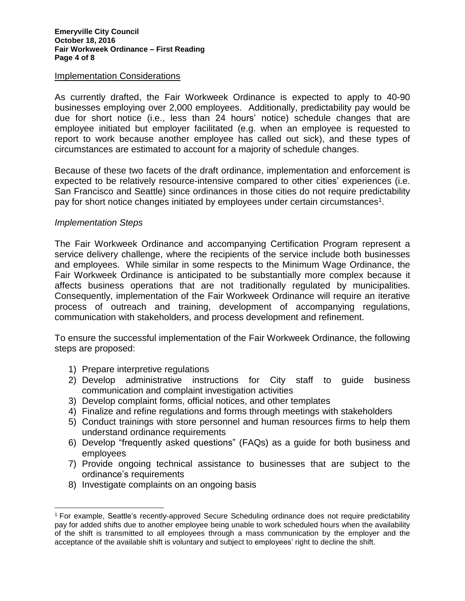#### Implementation Considerations

As currently drafted, the Fair Workweek Ordinance is expected to apply to 40-90 businesses employing over 2,000 employees. Additionally, predictability pay would be due for short notice (i.e., less than 24 hours' notice) schedule changes that are employee initiated but employer facilitated (e.g. when an employee is requested to report to work because another employee has called out sick), and these types of circumstances are estimated to account for a majority of schedule changes.

Because of these two facets of the draft ordinance, implementation and enforcement is expected to be relatively resource-intensive compared to other cities' experiences (i.e. San Francisco and Seattle) since ordinances in those cities do not require predictability pay for short notice changes initiated by employees under certain circumstances<sup>1</sup>.

### *Implementation Steps*

 $\overline{a}$ 

The Fair Workweek Ordinance and accompanying Certification Program represent a service delivery challenge, where the recipients of the service include both businesses and employees. While similar in some respects to the Minimum Wage Ordinance, the Fair Workweek Ordinance is anticipated to be substantially more complex because it affects business operations that are not traditionally regulated by municipalities. Consequently, implementation of the Fair Workweek Ordinance will require an iterative process of outreach and training, development of accompanying regulations, communication with stakeholders, and process development and refinement.

To ensure the successful implementation of the Fair Workweek Ordinance, the following steps are proposed:

- 1) Prepare interpretive regulations
- 2) Develop administrative instructions for City staff to guide business communication and complaint investigation activities
- 3) Develop complaint forms, official notices, and other templates
- 4) Finalize and refine regulations and forms through meetings with stakeholders
- 5) Conduct trainings with store personnel and human resources firms to help them understand ordinance requirements
- 6) Develop "frequently asked questions" (FAQs) as a guide for both business and employees
- 7) Provide ongoing technical assistance to businesses that are subject to the ordinance's requirements
- 8) Investigate complaints on an ongoing basis

<sup>1</sup> For example, Seattle's recently-approved Secure Scheduling ordinance does not require predictability pay for added shifts due to another employee being unable to work scheduled hours when the availability of the shift is transmitted to all employees through a mass communication by the employer and the acceptance of the available shift is voluntary and subject to employees' right to decline the shift.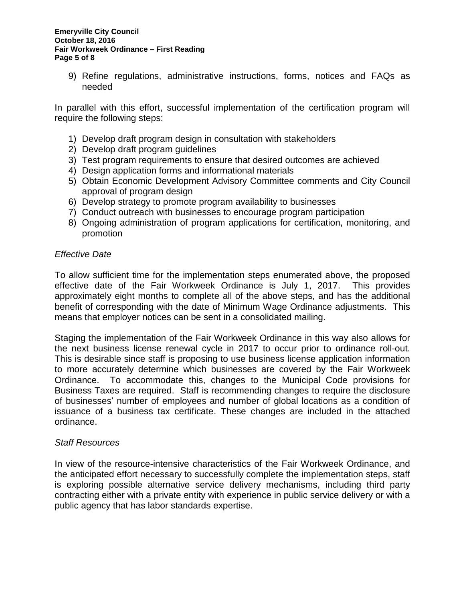9) Refine regulations, administrative instructions, forms, notices and FAQs as needed

In parallel with this effort, successful implementation of the certification program will require the following steps:

- 1) Develop draft program design in consultation with stakeholders
- 2) Develop draft program guidelines
- 3) Test program requirements to ensure that desired outcomes are achieved
- 4) Design application forms and informational materials
- 5) Obtain Economic Development Advisory Committee comments and City Council approval of program design
- 6) Develop strategy to promote program availability to businesses
- 7) Conduct outreach with businesses to encourage program participation
- 8) Ongoing administration of program applications for certification, monitoring, and promotion

### *Effective Date*

To allow sufficient time for the implementation steps enumerated above, the proposed effective date of the Fair Workweek Ordinance is July 1, 2017. This provides approximately eight months to complete all of the above steps, and has the additional benefit of corresponding with the date of Minimum Wage Ordinance adjustments. This means that employer notices can be sent in a consolidated mailing.

Staging the implementation of the Fair Workweek Ordinance in this way also allows for the next business license renewal cycle in 2017 to occur prior to ordinance roll-out. This is desirable since staff is proposing to use business license application information to more accurately determine which businesses are covered by the Fair Workweek Ordinance. To accommodate this, changes to the Municipal Code provisions for Business Taxes are required. Staff is recommending changes to require the disclosure of businesses' number of employees and number of global locations as a condition of issuance of a business tax certificate. These changes are included in the attached ordinance.

### *Staff Resources*

In view of the resource-intensive characteristics of the Fair Workweek Ordinance, and the anticipated effort necessary to successfully complete the implementation steps, staff is exploring possible alternative service delivery mechanisms, including third party contracting either with a private entity with experience in public service delivery or with a public agency that has labor standards expertise.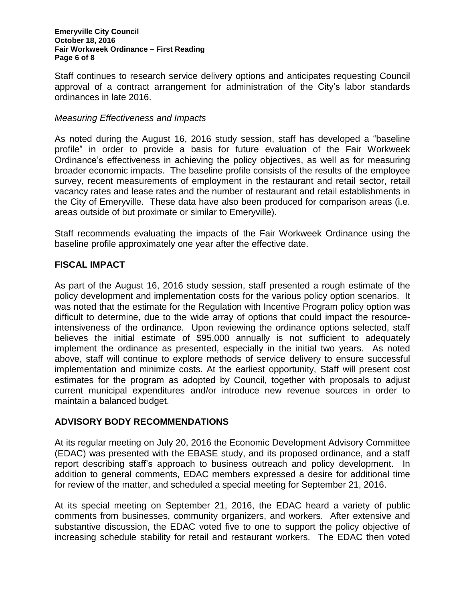Staff continues to research service delivery options and anticipates requesting Council approval of a contract arrangement for administration of the City's labor standards ordinances in late 2016.

### *Measuring Effectiveness and Impacts*

As noted during the August 16, 2016 study session, staff has developed a "baseline profile" in order to provide a basis for future evaluation of the Fair Workweek Ordinance's effectiveness in achieving the policy objectives, as well as for measuring broader economic impacts. The baseline profile consists of the results of the employee survey, recent measurements of employment in the restaurant and retail sector, retail vacancy rates and lease rates and the number of restaurant and retail establishments in the City of Emeryville. These data have also been produced for comparison areas (i.e. areas outside of but proximate or similar to Emeryville).

Staff recommends evaluating the impacts of the Fair Workweek Ordinance using the baseline profile approximately one year after the effective date.

## **FISCAL IMPACT**

As part of the August 16, 2016 study session, staff presented a rough estimate of the policy development and implementation costs for the various policy option scenarios. It was noted that the estimate for the Regulation with Incentive Program policy option was difficult to determine, due to the wide array of options that could impact the resourceintensiveness of the ordinance. Upon reviewing the ordinance options selected, staff believes the initial estimate of \$95,000 annually is not sufficient to adequately implement the ordinance as presented, especially in the initial two years. As noted above, staff will continue to explore methods of service delivery to ensure successful implementation and minimize costs. At the earliest opportunity, Staff will present cost estimates for the program as adopted by Council, together with proposals to adjust current municipal expenditures and/or introduce new revenue sources in order to maintain a balanced budget.

## **ADVISORY BODY RECOMMENDATIONS**

At its regular meeting on July 20, 2016 the Economic Development Advisory Committee (EDAC) was presented with the EBASE study, and its proposed ordinance, and a staff report describing staff's approach to business outreach and policy development. In addition to general comments, EDAC members expressed a desire for additional time for review of the matter, and scheduled a special meeting for September 21, 2016.

At its special meeting on September 21, 2016, the EDAC heard a variety of public comments from businesses, community organizers, and workers. After extensive and substantive discussion, the EDAC voted five to one to support the policy objective of increasing schedule stability for retail and restaurant workers. The EDAC then voted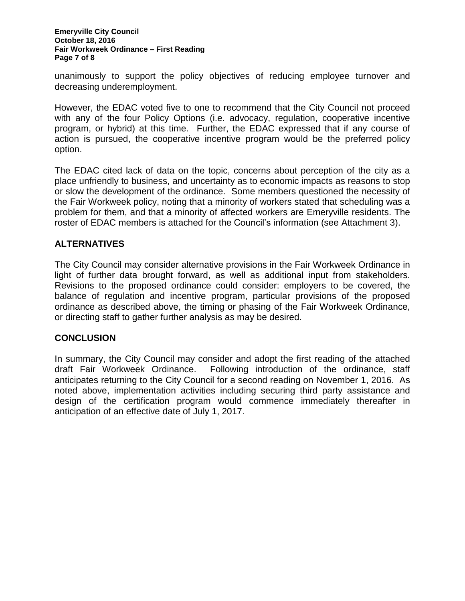#### **Emeryville City Council October 18, 2016 Fair Workweek Ordinance – First Reading Page 7 of 8**

unanimously to support the policy objectives of reducing employee turnover and decreasing underemployment.

However, the EDAC voted five to one to recommend that the City Council not proceed with any of the four Policy Options (i.e. advocacy, regulation, cooperative incentive program, or hybrid) at this time. Further, the EDAC expressed that if any course of action is pursued, the cooperative incentive program would be the preferred policy option.

The EDAC cited lack of data on the topic, concerns about perception of the city as a place unfriendly to business, and uncertainty as to economic impacts as reasons to stop or slow the development of the ordinance. Some members questioned the necessity of the Fair Workweek policy, noting that a minority of workers stated that scheduling was a problem for them, and that a minority of affected workers are Emeryville residents. The roster of EDAC members is attached for the Council's information (see Attachment 3).

## **ALTERNATIVES**

The City Council may consider alternative provisions in the Fair Workweek Ordinance in light of further data brought forward, as well as additional input from stakeholders. Revisions to the proposed ordinance could consider: employers to be covered, the balance of regulation and incentive program, particular provisions of the proposed ordinance as described above, the timing or phasing of the Fair Workweek Ordinance, or directing staff to gather further analysis as may be desired.

## **CONCLUSION**

In summary, the City Council may consider and adopt the first reading of the attached draft Fair Workweek Ordinance. Following introduction of the ordinance, staff anticipates returning to the City Council for a second reading on November 1, 2016. As noted above, implementation activities including securing third party assistance and design of the certification program would commence immediately thereafter in anticipation of an effective date of July 1, 2017.